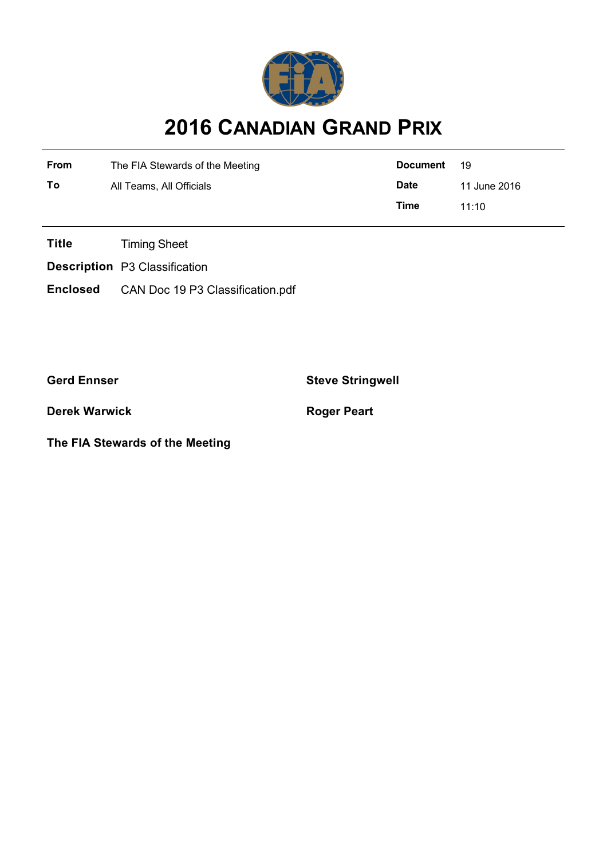

## **2016 CANADIAN GRAND PRIX**

| From | The FIA Stewards of the Meeting | Document    | -19          |
|------|---------------------------------|-------------|--------------|
| To   | All Teams, All Officials        | <b>Date</b> | 11 June 2016 |
|      |                                 | Time        | 11.10        |

**Title** Timing Sheet

**Description** P3 Classification

**Enclosed** CAN Doc 19 P3 Classification.pdf

**Gerd Ennser Steve Stringwell**

**Derek Warwick Roger Peart** 

**The FIA Stewards of the Meeting**